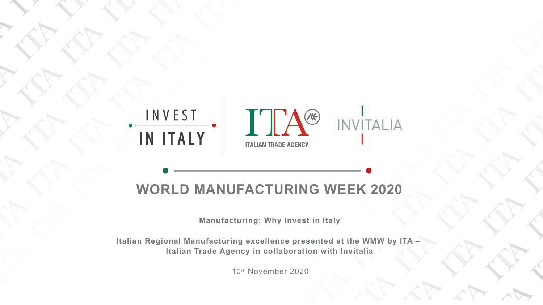



### **WORLD MANUFACTURING WEEK 2020**

THE POWERPOINT PRESENTATION CONTINUES.

**Manufacturing: Why Invest in Italy**

**Italian Regional Manufacturing excellence presented at the WMW by ITA – Italian Trade Agency in collaboration with Invitalia**

10th November 2020

# INVITALIA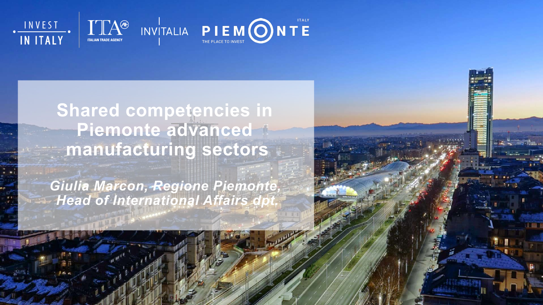



### **Shared competencies in Piemonte advanced manufacturing sectors**

*Giulia Marcon, Regione Piemonte,*  **Head of International Affairs dp** 

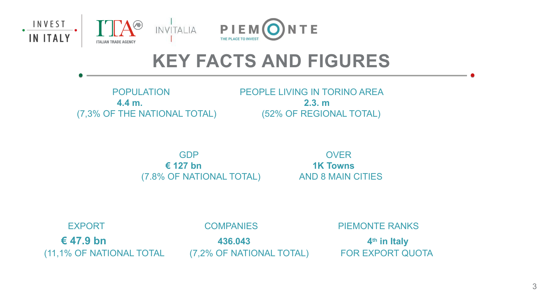

### **KEY FACTS AND FIGURES**

POPULATION PEOPLE LIVING IN TORINO AREA

 **4.4 m. 2.3. m** (7,3% OF THE NATIONAL TOTAL) (52% OF REGIONAL TOTAL)

EXPORT COMPANIES PIEMONTE RANKS  $\epsilon$  47.9 bn  $\epsilon$  436.043 4<sup>th</sup> in Italy (11,1% OF NATIONAL TOTAL (7,2% OF NATIONAL TOTAL) FOR EXPORT QUOTA

 GDP OVER **€ 127 bn 1K Towns** (7.8% OF NATIONAL TOTAL) AND 8 MAIN CITIES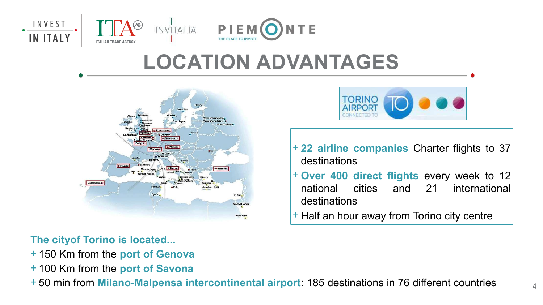

## **LOCATION ADVANTAGES**



+ **22 airline companies** Charter flights to 37 destinations

- + **Over 400 direct flights** every week to 12 national cities and 21 international
	-
- + Half an hour away from Torino city centre

destinations

**The cityof Torino is located...**

- + 150 Km from the **port of Genova**
- + 100 Km from the **port of Savona**
- + 50 min from **Milano-Malpensa intercontinental airport**: 185 destinations in 76 different countries

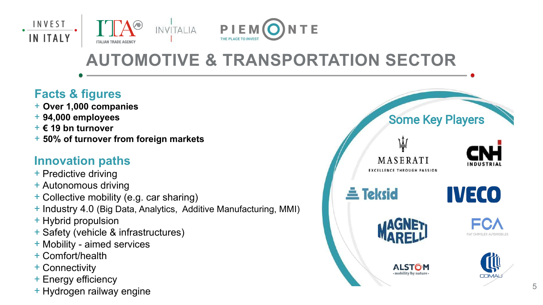### **AUTOMOTIVE & TRANSPORTATION SECTOR**







#### **Innovation paths**

- + Predictive driving
- + Autonomous driving
- + Collective mobility (e.g. car sharing)
- + Industry 4.0 (Big Data, Analytics, Additive Manufacturing, MMI)
- + Hybrid propulsion
- + Safety (vehicle & infrastructures)
- + Mobility aimed services
- + Comfort/health
- + Connectivity
- + Energy efficiency
- + Hydrogen railway engine

#### Some Key Players















#### **Facts & figures**

- + **Over 1,000 companies**
- + **94,000 employees**
- + **€ 19 bn turnover**
- + **50% of turnover from foreign markets**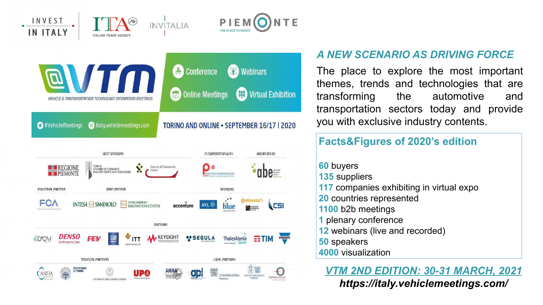#### **Facts&Figures of 2020's edition**

- **60** buyers
- **135** suppliers
- **117** companies exhibiting in virtual expo
- **20** countries represented
- **1100** b2b meetings
- **1** plenary conference
- **12** webinars (live and recorded)
- **50** speakers
- **4000** visualization





#### *A NEW SCENARIO AS DRIVING FORCE*

The place to explore the most important themes, trends and technologies that are transforming the automotive and transportation sectors today and provide you with exclusive industry contents.

#### *VTM 2ND EDITION: 30-31 MARCH, 2021 https://italy.vehiclemeetings.com/*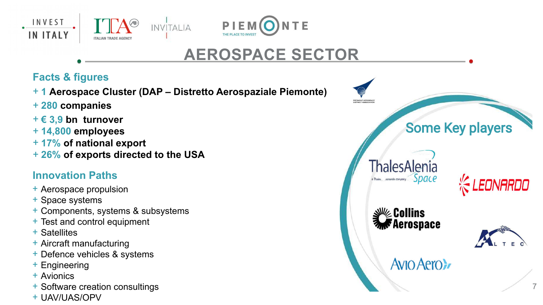







### **AEROSPACE SECTOR**

### Some Key players





#### **Avio Aero>**



#### **Facts & figures**

+ **1 Aerospace Cluster (DAP – Distretto Aerospaziale Piemonte)**

- + **280 companies**
- + **€ 3,9 bn turnover**
- + **14,800 employees**
- + **17% of national export**
- + **26% of exports directed to the USA**

#### **Innovation Paths**

- + Aerospace propulsion
- + Space systems
- + Components, systems & subsystems
- + Test and control equipment
- + Satellites
- + Aircraft manufacturing
- + Defence vehicles & systems
- + Engineering
- + Avionics
- + Software creation consultings
- + UAV/UAS/OPV



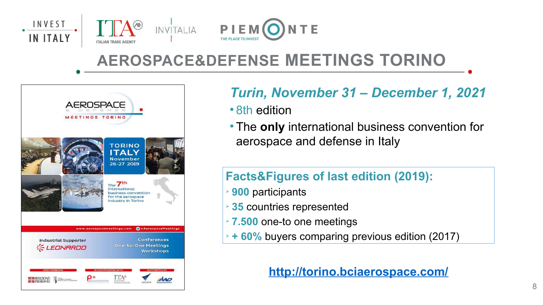### **AEROSPACE&DEFENSE MEETINGS TORINO**





### *Turin, November 31 – December 1, 2021*

- 8th edition
- aerospace and defense in Italy

The **only** international business convention for

**\* + 60%** buyers comparing previous edition (2017)

#### **Facts&Figures of last edition (2019):**

- **900** participants
- **35** countries represented
- **7.500** one-to one meetings
- 

#### **<http://torino.bciaerospace.com/>**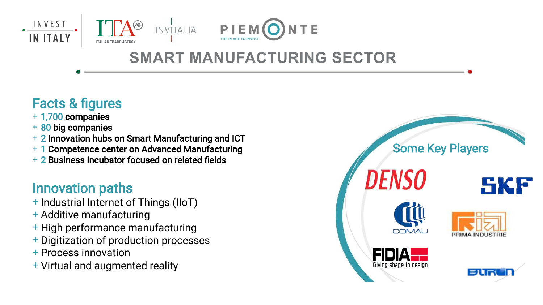### Facts & figures

- + 1,700 companies
- + 80 big companies
- + 2 Innovation hubs on Smart Manufacturing and ICT
- + 1 Competence center on Advanced Manufacturing
- + 2 Business incubator focused on related fields

#### Innovation paths

- + Industrial Internet of Things (IIoT)
- + Additive manufacturing
- + High performance manufacturing
- + Digitization of production processes
- + Process innovation
- + Virtual and augmented reality

#### Some Key Players





















### **SMART MANUFACTURING SECTOR**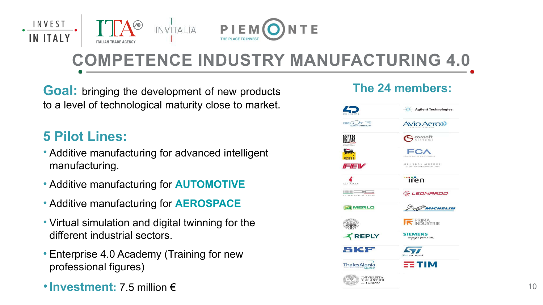### **COMPETENCE INDUSTRY MANUFACTURING 4.0**



**Goal:** bringing the development of new products **The 24 members:**  to a level of technological maturity close to market.

#### **5 Pilot Lines:**

- Additive manufacturing for advanced intelligent manufacturing.
- Additive manufacturing for **AUTOMOTIVE**
- Additive manufacturing for **AEROSPACE**
- Virtual simulation and digital twinning for the different industrial sectors.
- Enterprise 4.0 Academy (Training for new professional figures)
- **Investment:** 7.5 million €













#### **Tiren**



















**Agilent Technologies** 

**Avio Aero>>** 

 $\mathbf{S}$  consoft

FCA

GENERAL MOTORS





**SIEMENS** 'ingegno per la vita



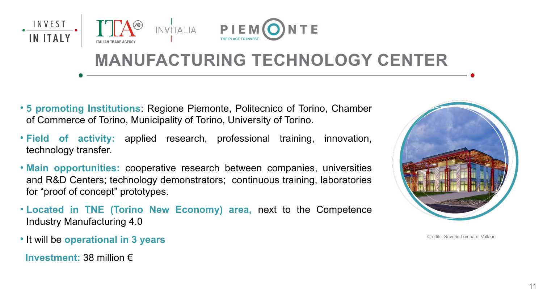### **MANUFACTURING TECHNOLOGY CENTER**



- **5 promoting Institutions**: Regione Piemonte, Politecnico of Torino, Chamber of Commerce of Torino, Municipality of Torino, University of Torino.
- **Field of activity:** applied research, professional training, innovation, technology transfer.
- **Main opportunities:** cooperative research between companies, universities and R&D Centers; technology demonstrators; continuous training, laboratories for "proof of concept" prototypes.
- **Located in TNE (Torino New Economy) area,** next to the Competence Industry Manufacturing 4.0
- **It will be operational in 3 years**
- **Investment:** 38 million €





Credits: Saverio Lombardi Vallauri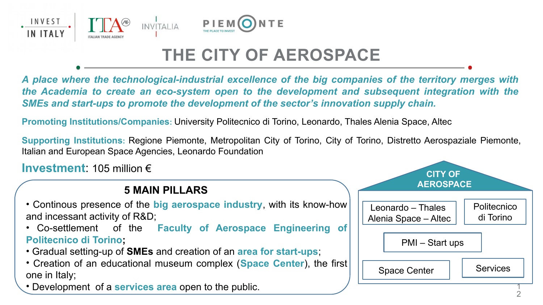



### **THE CITY OF AEROSPACE**

*A place where the technological-industrial excellence of the big companies of the territory merges with the Academia to create an eco-system open to the development and subsequent integration with the SMEs and start-ups to promote the development of the sector's innovation supply chain.*



#### **5 MAIN PILLARS**

- Continous presence of the **big aerospace industry**, with its know-how and incessant activity of R&D;
- Co-settlement of the **Faculty of Aerospace Engineering of Politecnico di Torino;**
- Gradual setting-up of **SMEs** and creation of an **area for start-ups**;
- Creation of an educational museum complex (**Space Center**), the first one in Italy;
- Development of a **services area** open to the public.

- 
- 

**Promoting Institutions/Companies:** University Politecnico di Torino, Leonardo, Thales Alenia Space, Altec

**Supporting Institutions:** Regione Piemonte, Metropolitan City of Torino, City of Torino, Distretto Aerospaziale Piemonte, Italian and European Space Agencies, Leonardo Foundation

**Investment**: 105 million €